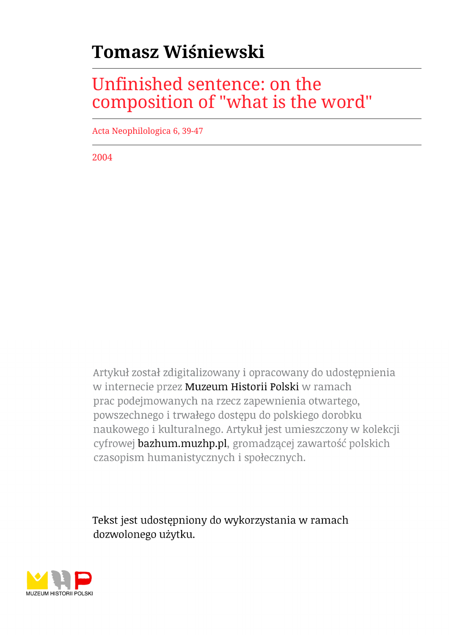## **Tomasz Wiśniewski**

## Unfinished sentence: on the composition of "what is the word"

Acta Neophilologica 6, 39-47

2004

Artykuł został zdigitalizowany i opracowany do udostępnienia w internecie przez Muzeum Historii Polski w ramach prac podejmowanych na rzecz zapewnienia otwartego, powszechnego i trwałego dostępu do polskiego dorobku naukowego i kulturalnego. Artykuł jest umieszczony w kolekcji cyfrowej bazhum.muzhp.pl, gromadzącej zawartość polskich czasopism humanistycznych i społecznych.

Tekst jest udostępniony do wykorzystania w ramach dozwolonego użytku.

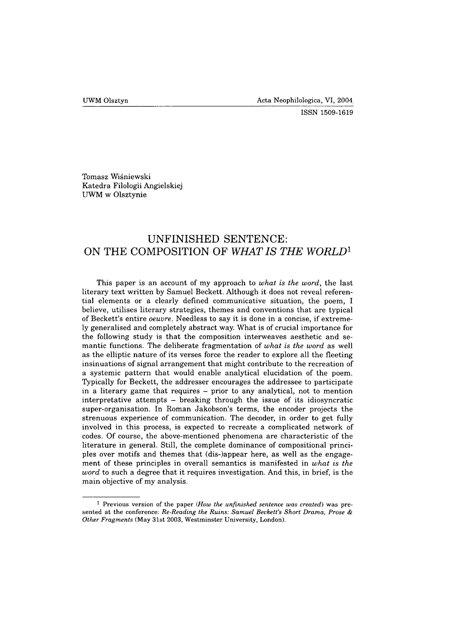**ISSN 1509-1619**

Tomasz Wiśniewski Katedra Filologii Angielskiej UWM w Olsztynie

## **UNFINISHED SENTENCE: ON THE COMPOSITION OF** *WHAT IS THE WORLD*<sup>1</sup>

This paper is an account of my approach to *what is the word,* the last literary text written by Samuel Beckett. Although it does not reveal referential elements or a clearly defined communicative situation, the poem, I believe, utilises literary strategies, themes and conventions that are typical of Beckett's entire *oeuvre.* Needless to say it is done in a concise, if extremely generalised and completely abstract way. What is of crucial importance for the following study is that the composition interweaves aesthetic and semantic functions. The deliberate fragmentation of *what is the word* as well as the elliptic nature of its verses force the reader to explore all the fleeting insinuations of signal arrangement that might contribute to the recreation of a systemic pattern that would enable analytical elucidation of the poem. Typically for Beckett, the addresser encourages the addressee to participate in a literary game that requires - prior to any analytical, not to mention interpretative attempts  $-$  breaking through the issue of its idiosyncratic super-organisation. In Roman Jakobson's terms, the encoder projects the strenuous experience of communication. The decoder, in order to get fully involved in this process, is expected to recreate a complicated network of codes. Of course, the above-mentioned phenomena are characteristic of the literature in general. Still, the complete dominance of compositional principles over motifs and themes that (dis-)appear here, as well as the engagement of these principles in overall semantics is manifested in *what is the word* to such a degree that it requires investigation. And this, in brief, is the main objective of my analysis.

**<sup>1</sup> Previous version of the paper** *(How the unfinished sentence was created)* **was presented at the conference:** *Re-Reading the Ruins: Samuel Beckett's Short Drama, Prose & Other Fragments* **(May 31st 2003, Westminster University, London).**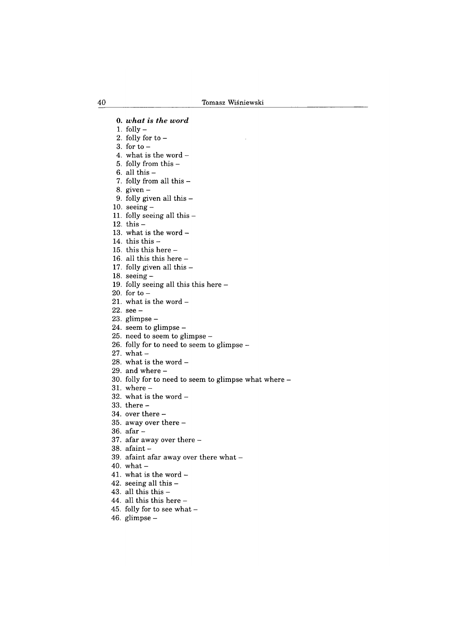0. *what is the word* 1. folly  $-$ 2. folly for to  $-$ 3. for to  $-$ 4. what is the word  $-$ 5. folly from this - 6. all this  $-$ 7. folly from all this  $-$ 8. given — 9. folly given all this — 10. seeing  $-$ 11. folly seeing all this — 12. this  $-$ 13. what is the word  $-$ 14. this this  $-$ 15. this this here - 16. all this this here — 17. folly given all this  $-$ 18. seeing  $-$ 19. folly seeing all this this here — 20. for to  $-$ 21. what is the word - 22. see - 23. glimpse  $-$ 24. seem to glimpse  $-$ 25. need to seem to glimpse - 26. folly for to need to seem to glimpse - 27. what  $-$ 28. what is the word  $29.$  and where  $-$ 30. folly for to need to seem to glimpse what where -  $31.$  where  $-$ 32. what is the word  $-$ 33. there - 34. over there — 35. away over there - 36. afar - 37. afar away over there - 38. afaint - 39. afaint afar away over there what — 40. what  $-$ 41. what is the word  $-$ 42. seeing all this — 43. all this this  $-$ 44. all this this here  $-$ 45. folly for to see what  $-$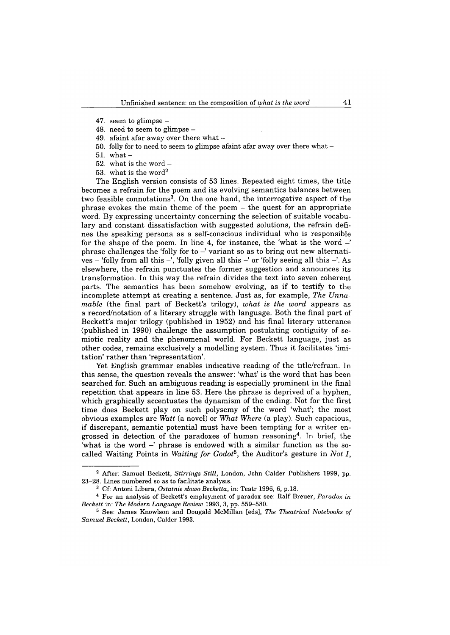- 47. seem to glimpse  $-$
- 48. need to seem to glimpse -
- 49. afaint afar away over there what  $-$
- 50. folly for to need to seem to glimpse afaint afar away over there what  $-$
- $51.$  what  $-$
- 52. what is the word  $-$
- 53. what is the word2

The English version consists of 53 lines. Repeated eight times, the title becomes a refrain for the poem and its evolving semantics balances between two feasible connotations<sup>3</sup>. On the one hand, the interrogative aspect of the phrase evokes the main theme of the poem - the quest for an appropriate word. By expressing uncertainty concerning the selection of suitable vocabulary and constant dissatisfaction with suggested solutions, the refrain defines the speaking persona as a self-conscious individual who is responsible for the shape of the poem. In line 4, for instance, the 'what is the word  $-$ ' phrase challenges the 'folly for to  $-$ ' variant so as to bring out new alternatives – 'folly from all this –', 'folly given all this –' or 'folly seeing all this –'. As elsewhere, the refrain punctuates the former suggestion and announces its transformation. In this way the refrain divides the text into seven coherent parts. The semantics has been somehow evolving, as if to testify to the incomplete attempt at creating a sentence. Just as, for example, *The Unnamable* (the final part of Beckett's trilogy), *what is the word* appears as a record/notation of a literary struggle with language. Both the final part of Beckett's major trilogy (published in 1952) and his final literary utterance (published in 1990) challenge the assumption postulating contiguity of semiotic reality and the phenomenal world. For Beckett language, just as other codes, remains exclusively a modelling system. Thus it facilitates 'imitation' rather than 'representation'.

Yet English grammar enables indicative reading of the title/refrain. In this sense, the question reveals the answer: 'what' is the word that has been searched for. Such an ambiguous reading is especially prominent in the final repetition that appears in line 53. Here the phrase is deprived of a hyphen, which graphically accentuates the dynamism of the ending. Not for the first time does Beckett play on such polysemy of the word 'what'; the most obvious examples are *Watt* (a novel) or *What Where* (a play). Such capacious, if discrepant, semantic potential must have been tempting for a writer engrossed in detection of the paradoxes of human reasoning4. In brief, the 'what is the word  $-$ ' phrase is endowed with a similar function as the socalled Waiting Points in *Waiting for Godot5,* the Auditor's gesture in *Not I,*

**<sup>2</sup> After: Samuel Beckett,** *Stirrings Still,* **London, John Calder Publishers 1999, pp. 23-28. Lines numbered so as to facilitate analysis.**

**<sup>3</sup> Cf: Antoni Libera,** *Ostatnie słowo Becketta,* **in: Teatr 1996, 6, p.18.**

**<sup>4</sup> For an analysis of Beckett's employment of paradox see: Ralf Breuer,** *Paradox in Beckett* **in:** *The Modern Language Review* **1993, 3, pp. 559-580.**

**<sup>5</sup> See: James Rnowlson and Dougald McMillan [eds],** *The Theatrical Notebooks of Samuel Beckett,* **London, Calder 1993.**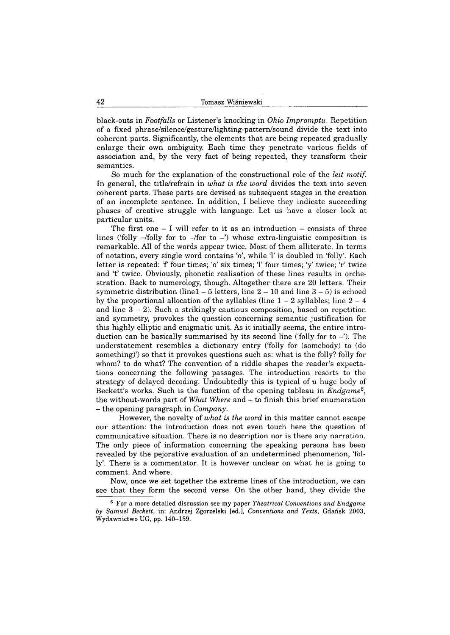black-outs in *Footfalls* or Listener's knocking in *Ohio Impromptu.* Repetition of a fixed phrase/silence/gesture/lighting-pattern/sound divide the text into coherent parts. Significantly, the elements that are being repeated gradually enlarge their own ambiguity. Each time they penetrate various fields of association and, by the very fact of being repeated, they transform their semantics.

So much for the explanation of the constructional role of the *leit motif.* In general, the title/refrain in *what is the word* divides the text into seven coherent parts. These parts are devised as subsequent stages in the creation of an incomplete sentence. In addition, I believe they indicate succeeding phases of creative struggle with language. Let us have a closer look at particular units.

The first one  $-$  I will refer to it as an introduction  $-$  consists of three lines ('folly  $-\prime$  folly for to  $-\prime$  for to  $-\prime$ ) whose extra-linguistic composition is remarkable. All of the words appear twice. Most of them alliterate. In terms of notation, every single word contains 'o', while T is doubled in 'folly'. Each letter is repeated: 'f' four times; 'o' six times; 'l' four times; 'y' twice; 'r' twice and 't' twice. Obviously, phonetic realisation of these lines results in orchestration. Back to numerology, though. Altogether there are 20 letters. Their symmetric distribution (line1  $-5$  letters, line  $2-10$  and line  $3-5$ ) is echoed by the proportional allocation of the syllables (line  $1 - 2$  syllables; line  $2 - 4$ and line  $3-2$ ). Such a strikingly cautious composition, based on repetition and symmetry, provokes the question concerning semantic justification for this highly elliptic and enigmatic unit. As it initially seems, the entire introduction can be basically summarised by its second line ('folly for to  $-$ '). The understatement resembles a dictionary entry ('folly for (somebody) to (do something)') so that it provokes questions such as: what is the folly? folly for whom? to do what? The convention of a riddle shapes the reader's expectations concerning the following passages. The introduction resorts to the strategy of delayed decoding. Undoubtedly this is typical of a huge body of Beckett's works. Such is the function of the opening tableau in *Endgame*6, the without-words part of *What Where* and - to finish this brief enumeration - the opening paragraph in *Company.*

However, the novelty of *what is the word* in this matter cannot escape our attention: the introduction does not even touch here the question of communicative situation. There is no description nor is there any narration. The only piece of information concerning the speaking persona has been revealed by the pejorative evaluation of an undetermined phenomenon, 'folly'. There is a commentator. It is however unclear on what he is going to comment. And where.

Now, once we set together the extreme lines of the introduction, we can see that they form the second verse. On the other hand, they divide the

**<sup>6</sup> For a more detailed discussion see my paper** *Theatrical Conventions and Endgame by Samuel Beckett,* **in: Andrzej Zgorzelski [ed.],** *Conventions and Texts,* **Gdańsk 2003, Wydawnictwo UG, pp. 140-159.**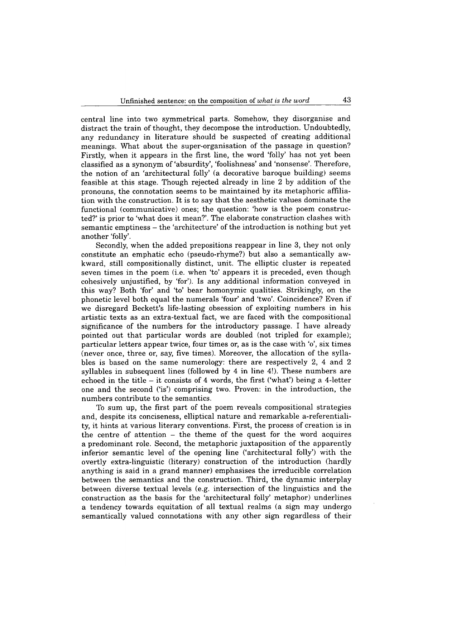central line into two symmetrical parts. Somehow, they disorganise and distract the train of thought, they decompose the introduction. Undoubtedly, any redundancy in literature should be suspected of creating additional meanings. What about the super-organisation of the passage in question? Firstly, when it appears in the first line, the word 'folly' has not yet been classified as a synonym of 'absurdity', 'foolishness' and 'nonsense'. Therefore, the notion of an 'architectural folly' (a decorative baroque building) seems feasible at this stage. Though rejected already in line 2 by addition of the pronouns, the connotation seems to be maintained by its metaphoric affiliation with the construction. It is to say that the aesthetic values dominate the functional (communicative) ones; the question: 'how is the poem constructed?' is prior to 'what does it mean?'. The elaborate construction clashes with semantic emptiness - the 'architecture' of the introduction is nothing but yet another 'folly'.

Secondly, when the added prepositions reappear in line 3, they not only constitute an emphatic echo (pseudo-rhyme?) but also a semantically awkward, still compositionally distinct, unit. The elliptic cluster is repeated seven times in the poem (i.e. when 'to' appears it is preceded, even though cohesively unjustified, by 'for'). Is any additional information conveyed in this way? Both 'for' and 'to' bear homonymic qualities. Strikingly, on the phonetic level both equal the numerals 'four' and 'two'. Coincidence? Even if we disregard Beckett's life-lasting obsession of exploiting numbers in his artistic texts as an extra-textual fact, we are faced with the compositional significance of the numbers for the introductory passage. I have already pointed out that particular words are doubled (not tripled for example); particular letters appear twice, four times or, as is the case with 'o', six times (never once, three or, say, five times). Moreover, the allocation of the syllables is based on the same numerology: there are respectively 2, 4 and 2 syllables in subsequent lines (followed by 4 in line 4!). These numbers are echoed in the title  $-$  it consists of 4 words, the first ('what') being a 4-letter one and the second ('is') comprising two. Proven: in the introduction, the numbers contribute to the semantics.

To sum up, the first part of the poem reveals compositional strategies and, despite its conciseness, elliptical nature and remarkable a-referentiality, it hints at various literary conventions. First, the process of creation is in the centre of attention - the theme of the quest for the word acquires a predominant role. Second, the metaphoric juxtaposition of the apparently inferior semantic level of the opening line ('architectural folly') with the overtly extra-linguistic (literary) construction of the introduction (hardly anything is said in a grand manner) emphasises the irreducible correlation between the semantics and the construction. Third, the dynamic interplay between diverse textual levels (e.g. intersection of the linguistics and the construction as the basis for the 'architectural folly' metaphor) underlines a tendency towards equitation of all textual realms (a sign may undergo semantically valued connotations with any other sign regardless of their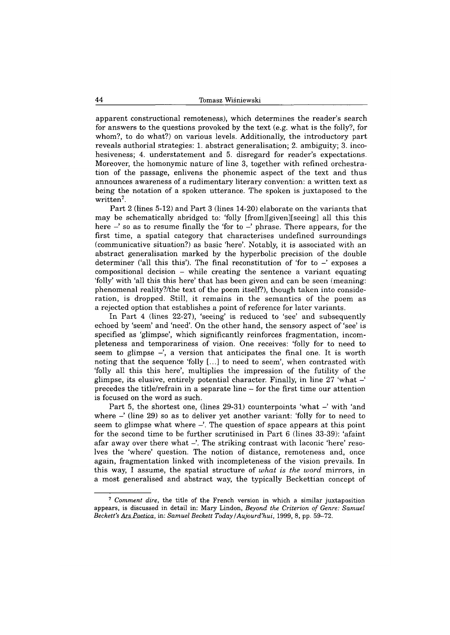apparent constructional remoteness), which determines the reader's search for answers to the questions provoked by the text (e.g. what is the folly?, for whom?, to do what?) on various levels. Additionally, the introductory part reveals authorial strategies: 1. abstract generalisation; 2. ambiguity; 3. incohesiveness; 4. understatement and 5. disregard for reader's expectations. Moreover, the homonymie nature of line 3, together with refined orchestration of the passage, enlivens the phonemic aspect of the text and thus announces awareness of a rudimentary literary convention: a written text as being the notation of a spoken utterance. The spoken is juxtaposed to the written<sup>7</sup>.

Part 2 (lines 5-12) and Part 3 (lines 14-20) elaborate on the variants that may be schematically abridged to: 'folly [from][given][seeing] all this this here  $-$ ' so as to resume finally the 'for to  $-$ ' phrase. There appears, for the first time, a spatial category that characterises undefined surroundings (communicative situation?) as basic 'here'. Notably, it is associated with an abstract generalisation marked by the hyperbolic precision of the double determiner ('all this this'). The final reconstitution of 'for to  $-$ ' exposes a  $compositional decision - while creating the sentence a variant equating$ 'folly' with 'all this this here' that has been given and can be seen (meaning: phenomenal reality?/the text of the poem itself?), though taken into consideration, is dropped. Still, it remains in the semantics of the poem as a rejected option that establishes a point of reference for later variants.

In Part 4 (lines 22-27), 'seeing' is reduced to 'see' and subsequently echoed by 'seem' and 'need'. On the other hand, the sensory aspect of 'see' is specified as 'glimpse', which significantly reinforces fragmentation, incompleteness and temporariness of vision. One receives: 'folly for to need to seem to glimpse  $-$ , a version that anticipates the final one. It is worth noting that the sequence 'folly [...] to need to seem', when contrasted with 'folly all this this here', multiplies the impression of the futility of the glimpse, its elusive, entirely potential character. Finally, in line  $27$  'what  $-$ ' precedes the title/refrain in a separate line — for the first time our attention is focused on the word as such.

Part 5, the shortest one, (lines  $29-31$ ) counterpoints 'what  $-$ ' with 'and where  $-$ ' (line 29) so as to deliver yet another variant: 'folly for to need to seem to glimpse what where  $-\dot{\phantom{\phi}}$ . The question of space appears at this point for the second time to be further scrutinised in Part 6 (lines 33-39): 'afaint afar away over there what —'. The striking contrast with laconic 'here' resolves the 'where' question. The notion of distance, remoteness and, once again, fragmentation linked with incompleteness of the vision prevails. In this way, I assume, the spatial structure of *what is the word* mirrors, in a most generalised and abstract way, the typically Beckettian concept of

**<sup>7</sup>** *Comment dire,* **the title of the French version in which a similar juxtaposition appears, is discussed in detail in: Mary Lindon,** *Beyond the Criterion of Genre: Samuel Beckett's Ars Poetica,* **in:** *Samuel Beckett Today ! Aujourd'hui,* **1999, 8, pp. 59-72.**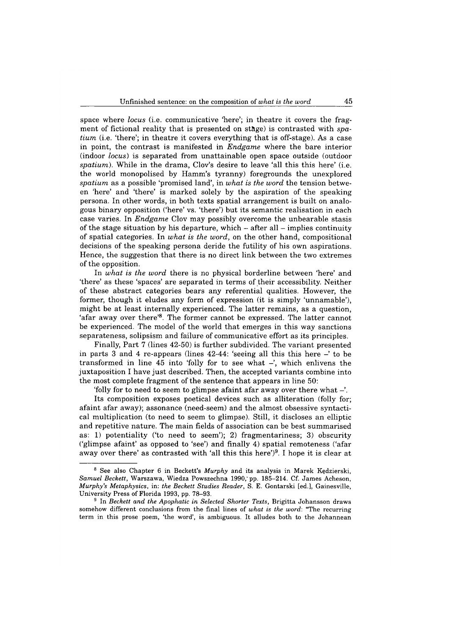space where *locus* (i.e. communicative "here'; in theatre it covers the fragment of fictional reality that is presented on stage) is contrasted with *spatium* (i.e. 'there'; in theatre it covers everything that is off-stage). As a case in point, the contrast is manifested in *Endgame* where the bare interior (indoor *locus)* is separated from unattainable open space outside (outdoor *spatium).* While in the drama, Clov's desire to leave 'all this this here' (i.e. the world monopolised by Hamm's tyranny) foregrounds the unexplored *spatium* as a possible 'promised land', in *what is the word* the tension between 'here' and 'there' is marked solely by the aspiration of the speaking persona. In other words, in both texts spatial arrangement is built on analogous binary opposition ('here' vs. 'there') but its semantic realisation in each case varies. In *Endgame* Clov may possibly overcome the unbearable stasis of the stage situation by his departure, which  $-$  after all  $-$  implies continuity of spatial categories. In *what is the word,* on the other hand, compositional decisions of the speaking persona deride the futility of his own aspirations. Hence, the suggestion that there is no direct link between the two extremes of the opposition.

In *what is the word* there is no physical borderline between 'here' and 'there' as these 'spaces' are separated in terms of their accessibility. Neither of these abstract categories bears any referential qualities. However, the former, though it eludes any form of expression (it is simply 'unnamable'), might be at least internally experienced. The latter remains, as a question, 'afar away over there'8. The former cannot be expressed. The latter cannot be experienced. The model of the world that emerges in this way sanctions separateness, solipsism and failure of communicative effort as its principles.

Finally, Part 7 (lines 42-50) is further subdivided. The variant presented in parts 3 and 4 re-appears (lines  $42-44$ : 'seeing all this this here  $-$ ' to be transformed in line 45 into 'folly for to see what  $-$ ', which enlivens the juxtaposition I have just described. Then, the accepted variants combine into the most complete fragment of the sentence that appears in line 50:

'folly for to need to seem to glimpse afaint afar away over there what  $-\dot{ }$ .

Its composition exposes poetical devices such as alliteration (folly for; afaint afar away); assonance (need-seem) and the almost obsessive syntactical multiplication (to need to seem to glimpse). Still, it discloses an elliptic and repetitive nature. The main fields of association can be best summarised as: 1) potentiality ('to need to seem'); 2) fragmentariness; 3) obscurity ('glimpse afaint' as opposed to 'see') and finally 4) spatial remoteness ('afar away over there' as contrasted with 'all this this here')<sup>9</sup>. I hope it is clear at

**<sup>8</sup> See also Chapter 6 in Beckett's** *Murphy* **and its analysis in Marek Kędzierski,** *Samuel Beckett,* **Warszawa, Wiedza Powszechna 1990," pp. 185-214. Cf. James Acheson,** *Murphy's Metaphysics,* **in:** *the Beckett Studies Reader,* **S. E. Gontarski [ed.], Gainesville, University Press of Florida 1993, pp. 78-93.**

**<sup>9</sup> In** *Beckett and the Apophatic in Selected Shorter Texts,* **Brigitta Johansson draws somehow different conclusions from the final lines of** *what is the word:* **"The recurring term in this prose poem, 'the word', is ambiguous. It alludes both to the Johannean**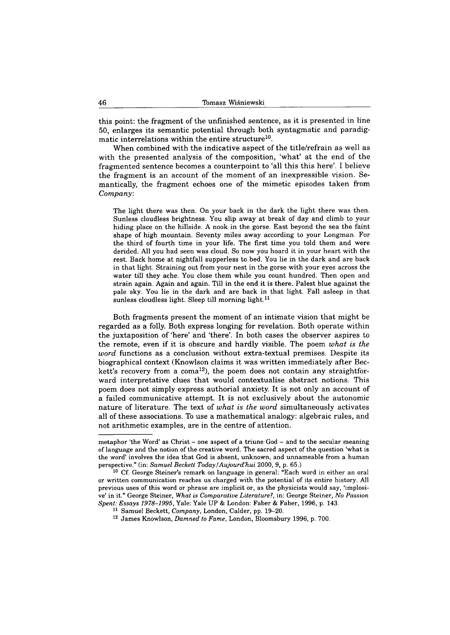this point: the fragment of the unfinished sentence, as it is presented in line 50, enlarges its semantic potential through both syntagmatic and paradigmatic interrelations within the entire structure<sup>10</sup>.

When combined with the indicative aspect of the title/refrain as well as with the presented analysis of the composition, 'what' at the end of the fragmented sentence becomes a counterpoint to 'all this this here'. I believe the fragment is an account of the moment of an inexpressible vision. Semantically, the fragment echoes one of the mimetic episodes taken from *Company.*

**The light there was then. On your back in the dark the light there was then. Sunless cloudless brightness. You slip away at break of day and climb to your hiding place on the hillside. A nook in the gorse. East beyond the sea the faint shape of high mountain. Seventy miles away according to your Longman. For the third of fourth time in your life. The first time you told them and were derided. All you had seen was cloud. So now you hoard it in your heart with the rest. Back home at nightfall supperless to bed. You lie in the dark and are back in that light. Straining out from your nest in the gorse with your eyes across the water till they ache. You close them while you count hundred. Then open and strain again. Again and again. Till in the end it is there. Palest blue against the pale sky. You lie in the dark and are back in that light. Fall asleep in that sunless cloudless light. Sleep till morning light.11**

Both fragments present the moment of an intimate vision that might be regarded as a folly. Both express longing for revelation. Both operate within the juxtaposition of 'here' and 'there'. In both cases the observer aspires to the remote, even if it is obscure and hardly visible. The poem *what is the word* functions as a conclusion without extra-textual premises. Despite its biographical context (Knowlson claims it was written immediately after Beckett's recovery from a coma<sup>12</sup>), the poem does not contain any straightforward interpretative clues that would contextualise abstract notions. This poem does not simply express authorial anxiety. It is not only an account of a failed communicative attempt. It is not exclusively about the autonomic nature of literature. The text of *what is the word* simultaneously activates all of these associations. To use a mathematical analogy: algebraic rules, and not arithmetic examples, are in the centre of attention.

**metaphor 'the Word' as Christ - one aspect of a triune God - and to the secular meaning of language and the notion of the creative word. The sacred aspect of the question 'what is the word' involves the idea that God is absent, unknown, and unnameable from a human perspective." (in:** *Samuel Beckett Today***/***Aujourd'hui* **2000, 9, p. 65.)**

**<sup>10</sup> Cf. George Steiner's remark on language in general: "Each word in either an oral or written communication reaches us charged with the potential of its entire history. All previous uses of this word or phrase are implicit or, as the physicists would say, 'implosive' in it." George Steiner,** *What is Comparative Literature***?, in: George Steiner,** *No Passion Spent: Essays 1978-1995,* **Yale: Yale UP & London: Faber & Faber, 1996, p. 143.**

**<sup>11</sup> Samuel Beckett,** *Company,* **London, Calder, pp. 19-20.**

**<sup>12</sup> James Knowlson,** *Damned to Fame,* **London, Bloomsbury 1996, p. 700.**